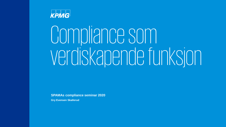

## Compliance som verdiskapendefunksjon

**SPAMAs compliance seminar 2020**

**Gry Evensen Skallerud**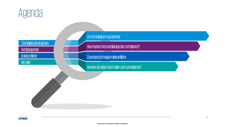

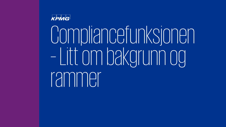

# Compliancefunksjonen – Litt om bakgrunn og rammer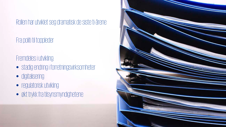Rollen har utviklet seg dramatisk de siste ti-årene

Fra politi til toppleder

Fremdeles i utvikling:

- stadig endring i forretningsvirksomheter
- digitalisering
- regulatorisk utvikling
- økt trykk fra tilsynsmyndighetene

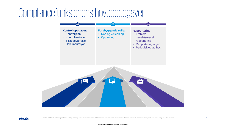### Compliancefunksjonenshovedoppgaver





© 2020 KPMG AS, a Norwegian limited liability company and a member firm of the KPMG network of independent member firms affiliated with KPMG International Cooperative, a Swiss entity. All rights reserved.

#### **Document Classification: KPMG Confidential**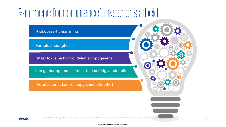### Rammene for compliancefunksjonensarbeid

Risikobasert tilnærming

Forholdsmessighet

Mest fokus på kontrolldelen av oppgavene

Kan gi mer oppmerksomhet til den rådgivende rollen

Forutsetter at kontrolloppgavene blir utført



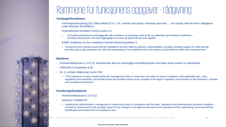### Rammene for funksjonens oppgaver - rådgivning

#### **Verdipapirforetakene;**

- Kommisjonsforordning 2017/565 artikkel 22 nr. 2 b): «advise and assist» relevante personer…. «to comply with the firm's obligations under directive 2014/65/EU»
- Finanstilsynets Rundskriv 5/2015 punkt 4.3:
	- «Compliancefunksjonens forebyggende rolle innebærer at funksjonen skal gi råd og veiledning og foretakets forpliktelser…. Compliancefunksjonen må være tilgjengelig for å svare på spørsmål som kan oppstå»
- ESMA Guidelines on the compliance function General guideline 4:
	- "Investment firms should ensure that the compliance function fulfils its advisory responsibilities including: providing support for staff training; providing day-to-day assistance for staff and participating in the establishment of new policies and procedures within the investment firm"

#### **Bankene:**

- Finansforetaksloven § 13-5 (2): finansforetak skal ha uavhengige kontrollfunksjoner med blant annet ansvar for etterlevelse
- CRR/CRD IV-forskriften § 39
- GL 11 omtaler rådgivning i punkt 192:
	- "The compliance function should advise the management body on measures to be taken to ensure compliance with applicable laws, rules, regulations and standards, and should assess the possible impact of any changes in the legal or regulatory environment on the institution's activities and compliance framework."

#### **Forsikringsforetakene:**

- Finansforetaksloven § 13-5 (2)
- Solvency II artikkel 46:
	- «advising the administrative, management or supervisory body on compliance with the laws, regulations and administrative provisions adopted» …. «include an assessment of the possible impact of any changes in the legal environment on the operations of the undertaking concerned and the identification and assessment of compliance risk»

iability company and a member firm of the KPMG network of independent member firms affiliated with KPMG International Cooperative, a Swiss entity. All rights reserved.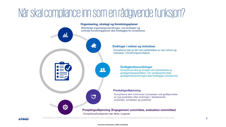### Når skal compliance inn som en rådgivende funksjon?

### **Organisering, strategi og forretningsplaner** Betydelige organisasjonsendringer, nye strategier og endrede forretningsplaner skal forelegges for compliance dd 22 **The Sea**  $\bullet$ **Prosjektgodkjenning (Engagement committee, evaluation committee)**

Compliancefunksjonen bør delta i organet.



© 2020 KPMG AS, a Norwegian limited liability company and a member firm of the KPMG network of independent member firms affiliated with KPMG International Cooperative, a Swiss entity. All rights reserved.

#### **Endringer i rutiner og instrukser**

Compliance bør gi råd ved utarbeidelse av nye rutiner og instrukser i forretningsområdene

#### **Godtgjørelsesordninger**

Compliance skal gi innspill ved utarbeidelse av godtgjørelsespolitikken. For verdipapirforetak: godtgjørelsesordningen skal forelegges compliance

#### **Produktgodkjenning**

Compliance skal involveres i prosessen ved godkjennelse av nye produkter eller endringer i eksisterende produkter, prosesser og systemer

#### **Document Classification: KPMG Confidential**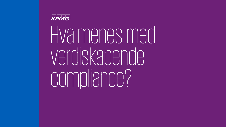

Hva menes med verdiskapende compliance?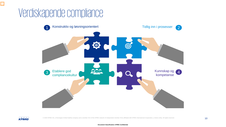### Verdiskapende compliance





F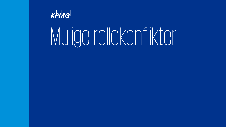

## Mulige rollekonflikter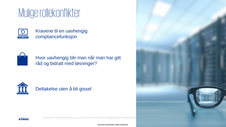### Mulige rollekonflikter



Kravene til en uavhengig compliancefunksjon



Hvor uavhengig blir man når man har gitt råd og bidratt med løsninger?



#### Deltakelse uten å bli gissel



© 2020 KPMG AS, a Norwegian limited liability company and a member firm of the KPMG network of independent member firms affiliated with KPMG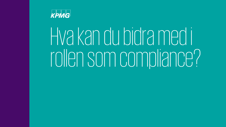

## Hva kan du bidra med i rollen som compliance?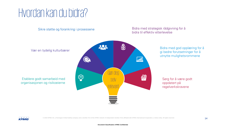### Hvordan kan du bidra?

Sikre støtte og forankring i prosessene

Vær en tydelig kulturbærer

Etablere godt samarbeid med organisasjonen og risikoeierne



#### Bidra med strategisk rådgivning for å bidra til effektiv etterlevelse

Bidra med god opplæring for å gi bedre forutsetninger for å utnytte mulighetsrommene

Sørg for å være godt oppdatert på regelverkskravene



© 2020 KPMG AS, a Norwegian limited liability company and a member firm of the KPMG network of independent member firms affiliated with KPMG International Cooperative, a Swiss entity. All rights reserved.

#### **Document Classification: KPMG Confidential**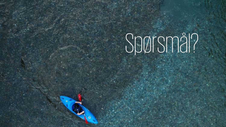# Spørsmål?